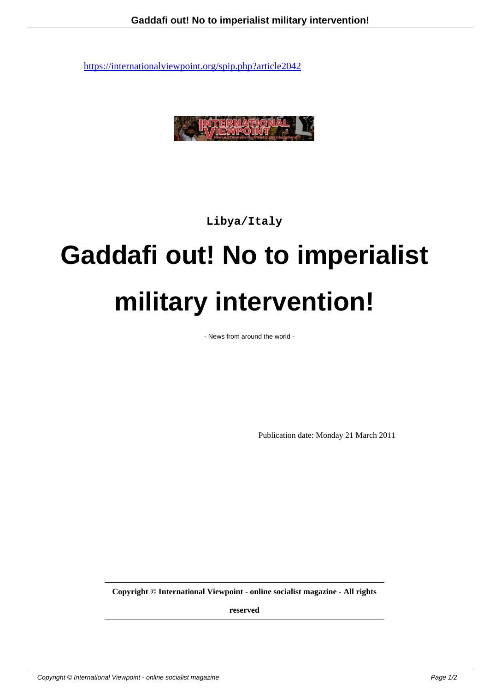

**Libya/Italy**

## **Gaddafi out! No to imperialist military intervention!**

- News from around the world -

Publication date: Monday 21 March 2011

**Copyright © International Viewpoint - online socialist magazine - All rights**

**reserved**